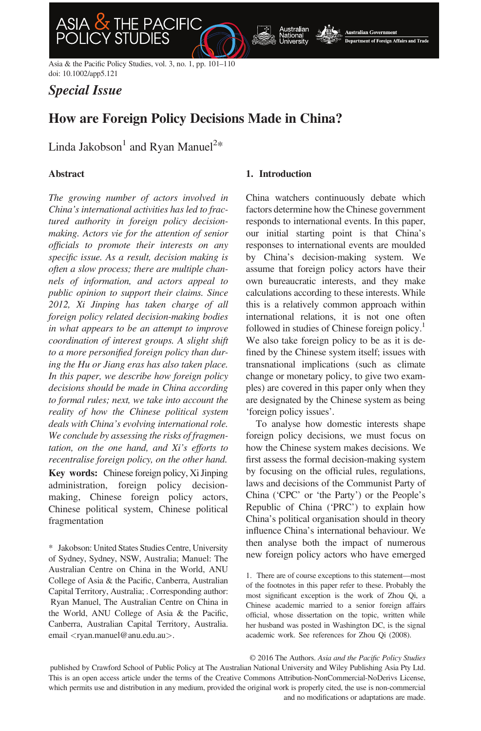Asia & the Pacific Policy Studies, vol. 3, no. 1, pp. 101–110 doi: 10.1002/app5.121

**THE PACIFIC** 

# Special Issue

# How are Foreign Policy Decisions Made in China?

Linda Jakobson<sup>1</sup> and Ryan Manuel<sup>2\*</sup>

## Abstract

The growing number of actors involved in China's international activities has led to fractured authority in foreign policy decisionmaking. Actors vie for the attention of senior officials to promote their interests on any specific issue. As a result, decision making is often a slow process; there are multiple channels of information, and actors appeal to public opinion to support their claims. Since 2012, Xi Jinping has taken charge of all foreign policy related decision-making bodies in what appears to be an attempt to improve coordination of interest groups. A slight shift to a more personified foreign policy than during the Hu or Jiang eras has also taken place. In this paper, we describe how foreign policy decisions should be made in China according to formal rules; next, we take into account the reality of how the Chinese political system deals with China's evolving international role. We conclude by assessing the risks of fragmentation, on the one hand, and Xi's efforts to recentralise foreign policy, on the other hand.

Key words: Chinese foreign policy, Xi Jinping administration, foreign policy decisionmaking, Chinese foreign policy actors, Chinese political system, Chinese political fragmentation

\* Jakobson: United States Studies Centre, University of Sydney, Sydney, NSW, Australia; Manuel: The Australian Centre on China in the World, ANU College of Asia & the Pacific, Canberra, Australian Capital Territory, Australia; . Corresponding author: Ryan Manuel, The Australian Centre on China in the World, ANU College of Asia & the Pacific, Canberra, Australian Capital Territory, Australia. email <ryan.manuel@anu.edu.au>.

## 1. Introduction

China watchers continuously debate which factors determine how the Chinese government responds to international events. In this paper, our initial starting point is that China's responses to international events are moulded by China's decision-making system. We assume that foreign policy actors have their own bureaucratic interests, and they make calculations according to these interests. While this is a relatively common approach within international relations, it is not one often followed in studies of Chinese foreign policy.<sup>1</sup> We also take foreign policy to be as it is defined by the Chinese system itself; issues with transnational implications (such as climate change or monetary policy, to give two examples) are covered in this paper only when they are designated by the Chinese system as being 'foreign policy issues'.

To analyse how domestic interests shape foreign policy decisions, we must focus on how the Chinese system makes decisions. We first assess the formal decision-making system by focusing on the official rules, regulations, laws and decisions of the Communist Party of China ('CPC' or 'the Party') or the People's Republic of China ('PRC') to explain how China's political organisation should in theory influence China's international behaviour. We then analyse both the impact of numerous new foreign policy actors who have emerged

1. There are of course exceptions to this statement—most of the footnotes in this paper refer to these. Probably the most significant exception is the work of Zhou Qi, a Chinese academic married to a senior foreign affairs official, whose dissertation on the topic, written while her husband was posted in Washington DC, is the signal academic work. See references for Zhou Qi (2008).

This is an open access article under the terms of the [Creative Commons Attribution-NonCommercial-NoDerivs](http://creativecommons.org/licenses/by-nc-nd/4.0/) License, which permits use and distribution in any medium, provided the original work is properly cited, the use is non-commercial and no modifications or adaptations are made. © 2016 The Authors. Asia and the Pacific Policy Studies published by Crawford School of Public Policy at The Australian National University and Wiley Publishing Asia Pty Ltd.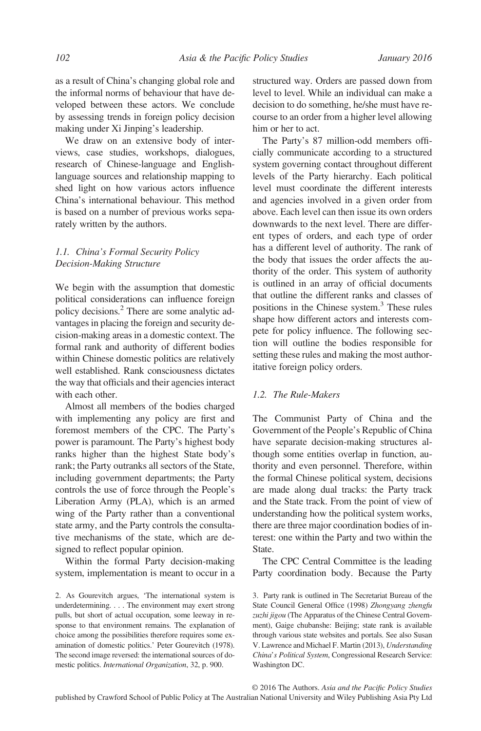as a result of China's changing global role and the informal norms of behaviour that have developed between these actors. We conclude by assessing trends in foreign policy decision making under Xi Jinping's leadership.

We draw on an extensive body of interviews, case studies, workshops, dialogues, research of Chinese-language and Englishlanguage sources and relationship mapping to shed light on how various actors influence China's international behaviour. This method is based on a number of previous works separately written by the authors.

## 1.1. China's Formal Security Policy Decision-Making Structure

We begin with the assumption that domestic political considerations can influence foreign policy decisions.2 There are some analytic advantages in placing the foreign and security decision-making areas in a domestic context. The formal rank and authority of different bodies within Chinese domestic politics are relatively well established. Rank consciousness dictates the way that officials and their agencies interact with each other.

Almost all members of the bodies charged with implementing any policy are first and foremost members of the CPC. The Party's power is paramount. The Party's highest body ranks higher than the highest State body's rank; the Party outranks all sectors of the State, including government departments; the Party controls the use of force through the People's Liberation Army (PLA), which is an armed wing of the Party rather than a conventional state army, and the Party controls the consultative mechanisms of the state, which are designed to reflect popular opinion.

Within the formal Party decision-making system, implementation is meant to occur in a

2. As Gourevitch argues, 'The international system is underdetermining. . . . The environment may exert strong pulls, but short of actual occupation, some leeway in response to that environment remains. The explanation of choice among the possibilities therefore requires some examination of domestic politics.' Peter Gourevitch (1978). The second image reversed: the international sources of domestic politics. International Organization, 32, p. 900.

structured way. Orders are passed down from level to level. While an individual can make a decision to do something, he/she must have recourse to an order from a higher level allowing him or her to act.

The Party's 87 million-odd members officially communicate according to a structured system governing contact throughout different levels of the Party hierarchy. Each political level must coordinate the different interests and agencies involved in a given order from above. Each level can then issue its own orders downwards to the next level. There are different types of orders, and each type of order has a different level of authority. The rank of the body that issues the order affects the authority of the order. This system of authority is outlined in an array of official documents that outline the different ranks and classes of positions in the Chinese system.3 These rules shape how different actors and interests compete for policy influence. The following section will outline the bodies responsible for setting these rules and making the most authoritative foreign policy orders.

### 1.2. The Rule-Makers

The Communist Party of China and the Government of the People's Republic of China have separate decision-making structures although some entities overlap in function, authority and even personnel. Therefore, within the formal Chinese political system, decisions are made along dual tracks: the Party track and the State track. From the point of view of understanding how the political system works, there are three major coordination bodies of interest: one within the Party and two within the State.

The CPC Central Committee is the leading Party coordination body. Because the Party

<sup>3.</sup> Party rank is outlined in The Secretariat Bureau of the State Council General Office (1998) Zhongyang zhengfu zuzhi jigou (The Apparatus of the Chinese Central Government), Gaige chubanshe: Beijing; state rank is available through various state websites and portals. See also Susan V. Lawrence and Michael F. Martin (2013), Understanding China's Political System, Congressional Research Service: Washington DC.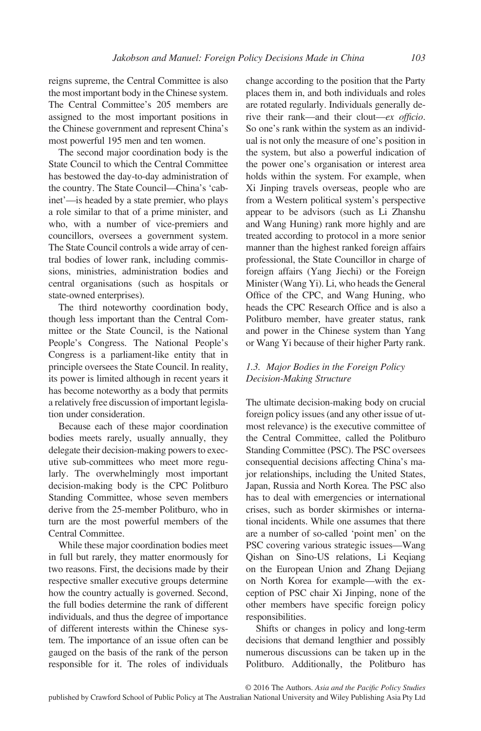reigns supreme, the Central Committee is also the most important body in the Chinese system. The Central Committee's 205 members are assigned to the most important positions in the Chinese government and represent China's most powerful 195 men and ten women.

The second major coordination body is the State Council to which the Central Committee has bestowed the day-to-day administration of the country. The State Council—China's 'cabinet'—is headed by a state premier, who plays a role similar to that of a prime minister, and who, with a number of vice-premiers and councillors, oversees a government system. The State Council controls a wide array of central bodies of lower rank, including commissions, ministries, administration bodies and central organisations (such as hospitals or state-owned enterprises).

The third noteworthy coordination body, though less important than the Central Committee or the State Council, is the National People's Congress. The National People's Congress is a parliament-like entity that in principle oversees the State Council. In reality, its power is limited although in recent years it has become noteworthy as a body that permits a relatively free discussion of important legislation under consideration.

Because each of these major coordination bodies meets rarely, usually annually, they delegate their decision-making powers to executive sub-committees who meet more regularly. The overwhelmingly most important decision-making body is the CPC Politburo Standing Committee, whose seven members derive from the 25-member Politburo, who in turn are the most powerful members of the Central Committee.

While these major coordination bodies meet in full but rarely, they matter enormously for two reasons. First, the decisions made by their respective smaller executive groups determine how the country actually is governed. Second, the full bodies determine the rank of different individuals, and thus the degree of importance of different interests within the Chinese system. The importance of an issue often can be gauged on the basis of the rank of the person responsible for it. The roles of individuals

change according to the position that the Party places them in, and both individuals and roles are rotated regularly. Individuals generally derive their rank—and their clout—ex officio. So one's rank within the system as an individual is not only the measure of one's position in the system, but also a powerful indication of the power one's organisation or interest area holds within the system. For example, when Xi Jinping travels overseas, people who are from a Western political system's perspective appear to be advisors (such as Li Zhanshu and Wang Huning) rank more highly and are treated according to protocol in a more senior manner than the highest ranked foreign affairs professional, the State Councillor in charge of foreign affairs (Yang Jiechi) or the Foreign Minister (Wang Yi). Li, who heads the General Office of the CPC, and Wang Huning, who heads the CPC Research Office and is also a Politburo member, have greater status, rank and power in the Chinese system than Yang or Wang Yi because of their higher Party rank.

# 1.3. Major Bodies in the Foreign Policy Decision-Making Structure

The ultimate decision-making body on crucial foreign policy issues (and any other issue of utmost relevance) is the executive committee of the Central Committee, called the Politburo Standing Committee (PSC). The PSC oversees consequential decisions affecting China's major relationships, including the United States, Japan, Russia and North Korea. The PSC also has to deal with emergencies or international crises, such as border skirmishes or international incidents. While one assumes that there are a number of so-called 'point men' on the PSC covering various strategic issues—Wang Qishan on Sino-US relations, Li Keqiang on the European Union and Zhang Dejiang on North Korea for example—with the exception of PSC chair Xi Jinping, none of the other members have specific foreign policy responsibilities.

Shifts or changes in policy and long-term decisions that demand lengthier and possibly numerous discussions can be taken up in the Politburo. Additionally, the Politburo has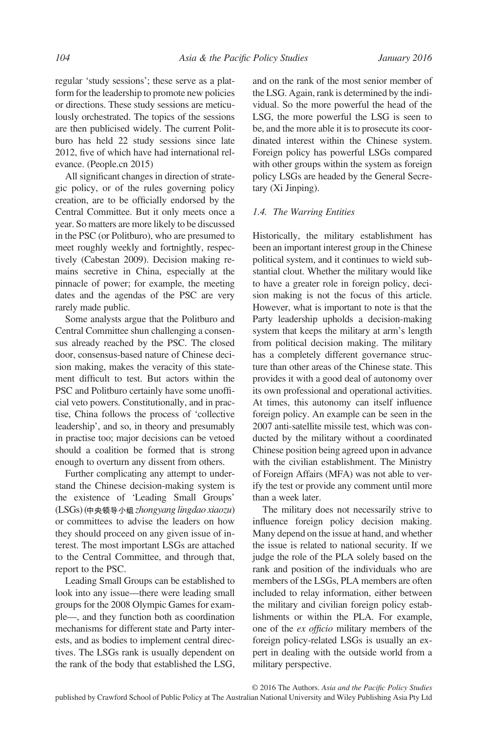regular 'study sessions'; these serve as a platform for the leadership to promote new policies or directions. These study sessions are meticulously orchestrated. The topics of the sessions are then publicised widely. The current Politburo has held 22 study sessions since late 2012, five of which have had international relevance. (People.cn 2015)

All significant changes in direction of strategic policy, or of the rules governing policy creation, are to be officially endorsed by the Central Committee. But it only meets once a year. So matters are more likely to be discussed in the PSC (or Politburo), who are presumed to meet roughly weekly and fortnightly, respectively (Cabestan 2009). Decision making remains secretive in China, especially at the pinnacle of power; for example, the meeting dates and the agendas of the PSC are very rarely made public.

Some analysts argue that the Politburo and Central Committee shun challenging a consensus already reached by the PSC. The closed door, consensus-based nature of Chinese decision making, makes the veracity of this statement difficult to test. But actors within the PSC and Politburo certainly have some unofficial veto powers. Constitutionally, and in practise, China follows the process of 'collective leadership', and so, in theory and presumably in practise too; major decisions can be vetoed should a coalition be formed that is strong enough to overturn any dissent from others.

Further complicating any attempt to understand the Chinese decision-making system is the existence of 'Leading Small Groups' (LSGs) (中央领导小组 zhongyang lingdao xiaozu) or committees to advise the leaders on how they should proceed on any given issue of interest. The most important LSGs are attached to the Central Committee, and through that, report to the PSC.

Leading Small Groups can be established to look into any issue—there were leading small groups for the 2008 Olympic Games for example—, and they function both as coordination mechanisms for different state and Party interests, and as bodies to implement central directives. The LSGs rank is usually dependent on the rank of the body that established the LSG,

and on the rank of the most senior member of the LSG. Again, rank is determined by the individual. So the more powerful the head of the LSG, the more powerful the LSG is seen to be, and the more able it is to prosecute its coordinated interest within the Chinese system. Foreign policy has powerful LSGs compared with other groups within the system as foreign policy LSGs are headed by the General Secretary (Xi Jinping).

#### 1.4. The Warring Entities

Historically, the military establishment has been an important interest group in the Chinese political system, and it continues to wield substantial clout. Whether the military would like to have a greater role in foreign policy, decision making is not the focus of this article. However, what is important to note is that the Party leadership upholds a decision-making system that keeps the military at arm's length from political decision making. The military has a completely different governance structure than other areas of the Chinese state. This provides it with a good deal of autonomy over its own professional and operational activities. At times, this autonomy can itself influence foreign policy. An example can be seen in the 2007 anti-satellite missile test, which was conducted by the military without a coordinated Chinese position being agreed upon in advance with the civilian establishment. The Ministry of Foreign Affairs (MFA) was not able to verify the test or provide any comment until more than a week later.

The military does not necessarily strive to influence foreign policy decision making. Many depend on the issue at hand, and whether the issue is related to national security. If we judge the role of the PLA solely based on the rank and position of the individuals who are members of the LSGs, PLA members are often included to relay information, either between the military and civilian foreign policy establishments or within the PLA. For example, one of the ex officio military members of the foreign policy-related LSGs is usually an expert in dealing with the outside world from a military perspective.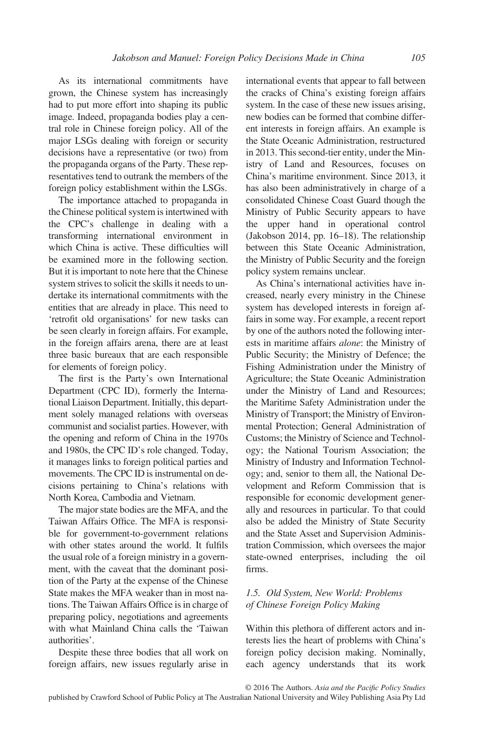As its international commitments have grown, the Chinese system has increasingly had to put more effort into shaping its public image. Indeed, propaganda bodies play a central role in Chinese foreign policy. All of the major LSGs dealing with foreign or security decisions have a representative (or two) from the propaganda organs of the Party. These representatives tend to outrank the members of the foreign policy establishment within the LSGs.

The importance attached to propaganda in the Chinese political system is intertwined with the CPC's challenge in dealing with a transforming international environment in which China is active. These difficulties will be examined more in the following section. But it is important to note here that the Chinese system strives to solicit the skills it needs to undertake its international commitments with the entities that are already in place. This need to 'retrofit old organisations' for new tasks can be seen clearly in foreign affairs. For example, in the foreign affairs arena, there are at least three basic bureaux that are each responsible for elements of foreign policy.

The first is the Party's own International Department (CPC ID), formerly the International Liaison Department. Initially, this department solely managed relations with overseas communist and socialist parties. However, with the opening and reform of China in the 1970s and 1980s, the CPC ID's role changed. Today, it manages links to foreign political parties and movements. The CPC ID is instrumental on decisions pertaining to China's relations with North Korea, Cambodia and Vietnam.

The major state bodies are the MFA, and the Taiwan Affairs Office. The MFA is responsible for government-to-government relations with other states around the world. It fulfils the usual role of a foreign ministry in a government, with the caveat that the dominant position of the Party at the expense of the Chinese State makes the MFA weaker than in most nations. The Taiwan Affairs Office is in charge of preparing policy, negotiations and agreements with what Mainland China calls the 'Taiwan authorities'.

Despite these three bodies that all work on foreign affairs, new issues regularly arise in international events that appear to fall between the cracks of China's existing foreign affairs system. In the case of these new issues arising, new bodies can be formed that combine different interests in foreign affairs. An example is the State Oceanic Administration, restructured in 2013. This second-tier entity, under the Ministry of Land and Resources, focuses on China's maritime environment. Since 2013, it has also been administratively in charge of a consolidated Chinese Coast Guard though the Ministry of Public Security appears to have the upper hand in operational control (Jakobson 2014, pp. 16–18). The relationship between this State Oceanic Administration, the Ministry of Public Security and the foreign policy system remains unclear.

As China's international activities have increased, nearly every ministry in the Chinese system has developed interests in foreign affairs in some way. For example, a recent report by one of the authors noted the following interests in maritime affairs alone: the Ministry of Public Security; the Ministry of Defence; the Fishing Administration under the Ministry of Agriculture; the State Oceanic Administration under the Ministry of Land and Resources; the Maritime Safety Administration under the Ministry of Transport; the Ministry of Environmental Protection; General Administration of Customs; the Ministry of Science and Technology; the National Tourism Association; the Ministry of Industry and Information Technology; and, senior to them all, the National Development and Reform Commission that is responsible for economic development generally and resources in particular. To that could also be added the Ministry of State Security and the State Asset and Supervision Administration Commission, which oversees the major state-owned enterprises, including the oil firms.

# 1.5. Old System, New World: Problems of Chinese Foreign Policy Making

Within this plethora of different actors and interests lies the heart of problems with China's foreign policy decision making. Nominally, each agency understands that its work

© 2016 The Authors. Asia and the Pacific Policy Studies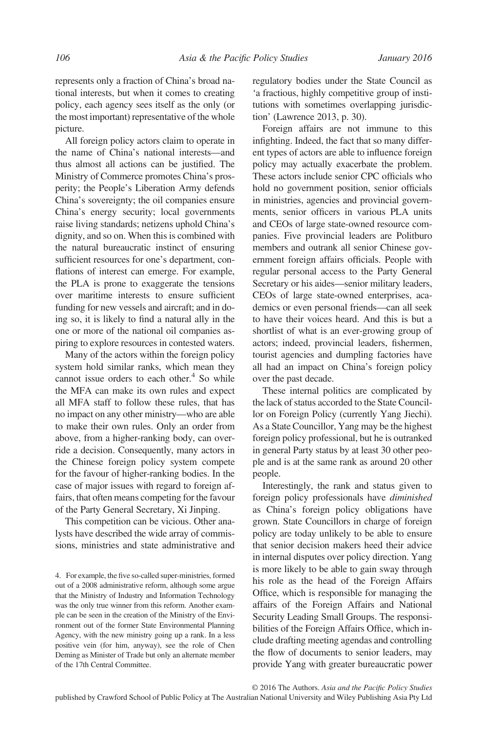represents only a fraction of China's broad national interests, but when it comes to creating policy, each agency sees itself as the only (or the most important) representative of the whole picture.

All foreign policy actors claim to operate in the name of China's national interests—and thus almost all actions can be justified. The Ministry of Commerce promotes China's prosperity; the People's Liberation Army defends China's sovereignty; the oil companies ensure China's energy security; local governments raise living standards; netizens uphold China's dignity, and so on. When this is combined with the natural bureaucratic instinct of ensuring sufficient resources for one's department, conflations of interest can emerge. For example, the PLA is prone to exaggerate the tensions over maritime interests to ensure sufficient funding for new vessels and aircraft; and in doing so, it is likely to find a natural ally in the one or more of the national oil companies aspiring to explore resources in contested waters.

Many of the actors within the foreign policy system hold similar ranks, which mean they cannot issue orders to each other.<sup>4</sup> So while the MFA can make its own rules and expect all MFA staff to follow these rules, that has no impact on any other ministry—who are able to make their own rules. Only an order from above, from a higher-ranking body, can override a decision. Consequently, many actors in the Chinese foreign policy system compete for the favour of higher-ranking bodies. In the case of major issues with regard to foreign affairs, that often means competing for the favour of the Party General Secretary, Xi Jinping.

This competition can be vicious. Other analysts have described the wide array of commissions, ministries and state administrative and regulatory bodies under the State Council as 'a fractious, highly competitive group of institutions with sometimes overlapping jurisdiction' (Lawrence 2013, p. 30).

Foreign affairs are not immune to this infighting. Indeed, the fact that so many different types of actors are able to influence foreign policy may actually exacerbate the problem. These actors include senior CPC officials who hold no government position, senior officials in ministries, agencies and provincial governments, senior officers in various PLA units and CEOs of large state-owned resource companies. Five provincial leaders are Politburo members and outrank all senior Chinese government foreign affairs officials. People with regular personal access to the Party General Secretary or his aides—senior military leaders, CEOs of large state-owned enterprises, academics or even personal friends—can all seek to have their voices heard. And this is but a shortlist of what is an ever-growing group of actors; indeed, provincial leaders, fishermen, tourist agencies and dumpling factories have all had an impact on China's foreign policy over the past decade.

These internal politics are complicated by the lack of status accorded to the State Councillor on Foreign Policy (currently Yang Jiechi). As a State Councillor, Yang may be the highest foreign policy professional, but he is outranked in general Party status by at least 30 other people and is at the same rank as around 20 other people.

Interestingly, the rank and status given to foreign policy professionals have diminished as China's foreign policy obligations have grown. State Councillors in charge of foreign policy are today unlikely to be able to ensure that senior decision makers heed their advice in internal disputes over policy direction. Yang is more likely to be able to gain sway through his role as the head of the Foreign Affairs Office, which is responsible for managing the affairs of the Foreign Affairs and National Security Leading Small Groups. The responsibilities of the Foreign Affairs Office, which include drafting meeting agendas and controlling the flow of documents to senior leaders, may provide Yang with greater bureaucratic power

© 2016 The Authors. Asia and the Pacific Policy Studies

<sup>4.</sup> For example, the five so-called super-ministries, formed out of a 2008 administrative reform, although some argue that the Ministry of Industry and Information Technology was the only true winner from this reform. Another example can be seen in the creation of the Ministry of the Environment out of the former State Environmental Planning Agency, with the new ministry going up a rank. In a less positive vein (for him, anyway), see the role of Chen Deming as Minister of Trade but only an alternate member of the 17th Central Committee.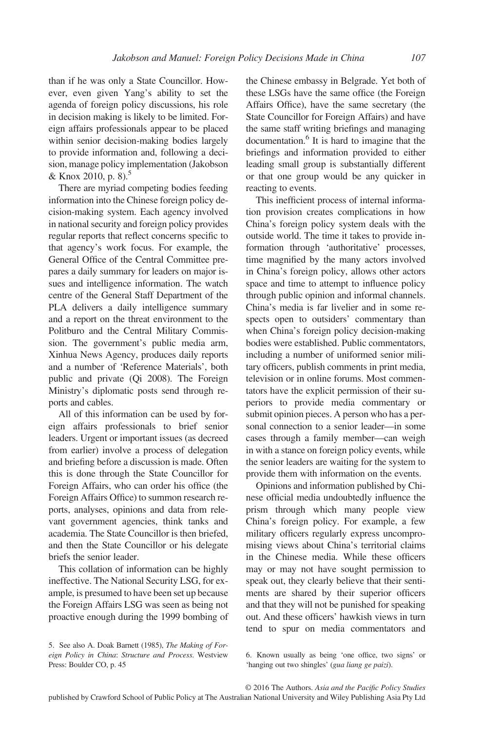than if he was only a State Councillor. However, even given Yang's ability to set the agenda of foreign policy discussions, his role in decision making is likely to be limited. Foreign affairs professionals appear to be placed within senior decision-making bodies largely to provide information and, following a decision, manage policy implementation (Jakobson & Knox 2010, p. 8).5

There are myriad competing bodies feeding information into the Chinese foreign policy decision-making system. Each agency involved in national security and foreign policy provides regular reports that reflect concerns specific to that agency's work focus. For example, the General Office of the Central Committee prepares a daily summary for leaders on major issues and intelligence information. The watch centre of the General Staff Department of the PLA delivers a daily intelligence summary and a report on the threat environment to the Politburo and the Central Military Commission. The government's public media arm, Xinhua News Agency, produces daily reports and a number of 'Reference Materials', both public and private (Qi 2008). The Foreign Ministry's diplomatic posts send through reports and cables.

All of this information can be used by foreign affairs professionals to brief senior leaders. Urgent or important issues (as decreed from earlier) involve a process of delegation and briefing before a discussion is made. Often this is done through the State Councillor for Foreign Affairs, who can order his office (the Foreign Affairs Office) to summon research reports, analyses, opinions and data from relevant government agencies, think tanks and academia. The State Councillor is then briefed, and then the State Councillor or his delegate briefs the senior leader.

This collation of information can be highly ineffective. The National Security LSG, for example, is presumed to have been set up because the Foreign Affairs LSG was seen as being not proactive enough during the 1999 bombing of

5. See also A. Doak Barnett (1985), The Making of Foreign Policy in China: Structure and Process. Westview Press: Boulder CO, p. 45

the Chinese embassy in Belgrade. Yet both of these LSGs have the same office (the Foreign Affairs Office), have the same secretary (the State Councillor for Foreign Affairs) and have the same staff writing briefings and managing documentation.6 It is hard to imagine that the briefings and information provided to either leading small group is substantially different or that one group would be any quicker in reacting to events.

This inefficient process of internal information provision creates complications in how China's foreign policy system deals with the outside world. The time it takes to provide information through 'authoritative' processes, time magnified by the many actors involved in China's foreign policy, allows other actors space and time to attempt to influence policy through public opinion and informal channels. China's media is far livelier and in some respects open to outsiders' commentary than when China's foreign policy decision-making bodies were established. Public commentators, including a number of uniformed senior military officers, publish comments in print media, television or in online forums. Most commentators have the explicit permission of their superiors to provide media commentary or submit opinion pieces. A person who has a personal connection to a senior leader—in some cases through a family member—can weigh in with a stance on foreign policy events, while the senior leaders are waiting for the system to provide them with information on the events.

Opinions and information published by Chinese official media undoubtedly influence the prism through which many people view China's foreign policy. For example, a few military officers regularly express uncompromising views about China's territorial claims in the Chinese media. While these officers may or may not have sought permission to speak out, they clearly believe that their sentiments are shared by their superior officers and that they will not be punished for speaking out. And these officers' hawkish views in turn tend to spur on media commentators and

<sup>6.</sup> Known usually as being 'one office, two signs' or 'hanging out two shingles' (gua liang ge paizi).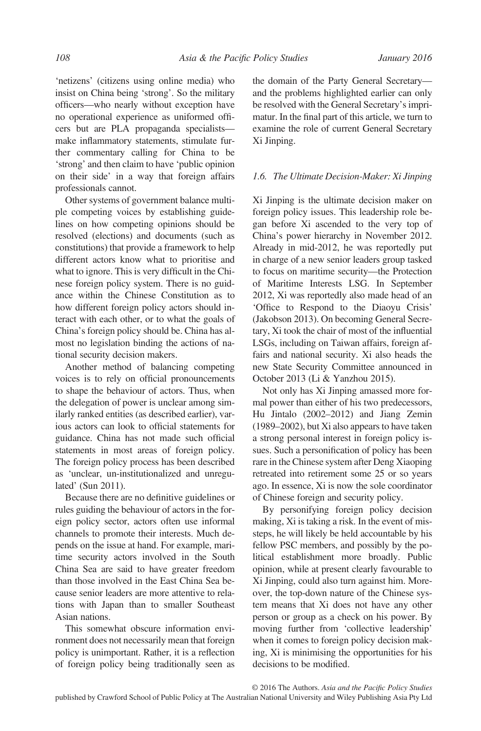'netizens' (citizens using online media) who insist on China being 'strong'. So the military officers—who nearly without exception have no operational experience as uniformed officers but are PLA propaganda specialists make inflammatory statements, stimulate further commentary calling for China to be 'strong' and then claim to have 'public opinion on their side' in a way that foreign affairs professionals cannot.

Other systems of government balance multiple competing voices by establishing guidelines on how competing opinions should be resolved (elections) and documents (such as constitutions) that provide a framework to help different actors know what to prioritise and what to ignore. This is very difficult in the Chinese foreign policy system. There is no guidance within the Chinese Constitution as to how different foreign policy actors should interact with each other, or to what the goals of China's foreign policy should be. China has almost no legislation binding the actions of national security decision makers.

Another method of balancing competing voices is to rely on official pronouncements to shape the behaviour of actors. Thus, when the delegation of power is unclear among similarly ranked entities (as described earlier), various actors can look to official statements for guidance. China has not made such official statements in most areas of foreign policy. The foreign policy process has been described as 'unclear, un-institutionalized and unregulated' (Sun 2011).

Because there are no definitive guidelines or rules guiding the behaviour of actors in the foreign policy sector, actors often use informal channels to promote their interests. Much depends on the issue at hand. For example, maritime security actors involved in the South China Sea are said to have greater freedom than those involved in the East China Sea because senior leaders are more attentive to relations with Japan than to smaller Southeast Asian nations.

This somewhat obscure information environment does not necessarily mean that foreign policy is unimportant. Rather, it is a reflection of foreign policy being traditionally seen as the domain of the Party General Secretary and the problems highlighted earlier can only be resolved with the General Secretary's imprimatur. In the final part of this article, we turn to examine the role of current General Secretary Xi Jinping.

### 1.6. The Ultimate Decision-Maker: Xi Jinping

Xi Jinping is the ultimate decision maker on foreign policy issues. This leadership role began before Xi ascended to the very top of China's power hierarchy in November 2012. Already in mid-2012, he was reportedly put in charge of a new senior leaders group tasked to focus on maritime security—the Protection of Maritime Interests LSG. In September 2012, Xi was reportedly also made head of an 'Office to Respond to the Diaoyu Crisis' (Jakobson 2013). On becoming General Secretary, Xi took the chair of most of the influential LSGs, including on Taiwan affairs, foreign affairs and national security. Xi also heads the new State Security Committee announced in October 2013 (Li & Yanzhou 2015).

Not only has Xi Jinping amassed more formal power than either of his two predecessors, Hu Jintalo (2002–2012) and Jiang Zemin (1989–2002), but Xi also appears to have taken a strong personal interest in foreign policy issues. Such a personification of policy has been rare in the Chinese system after Deng Xiaoping retreated into retirement some 25 or so years ago. In essence, Xi is now the sole coordinator of Chinese foreign and security policy.

By personifying foreign policy decision making, Xi is taking a risk. In the event of missteps, he will likely be held accountable by his fellow PSC members, and possibly by the political establishment more broadly. Public opinion, while at present clearly favourable to Xi Jinping, could also turn against him. Moreover, the top-down nature of the Chinese system means that Xi does not have any other person or group as a check on his power. By moving further from 'collective leadership' when it comes to foreign policy decision making, Xi is minimising the opportunities for his decisions to be modified.

<sup>© 2016</sup> The Authors. Asia and the Pacific Policy Studies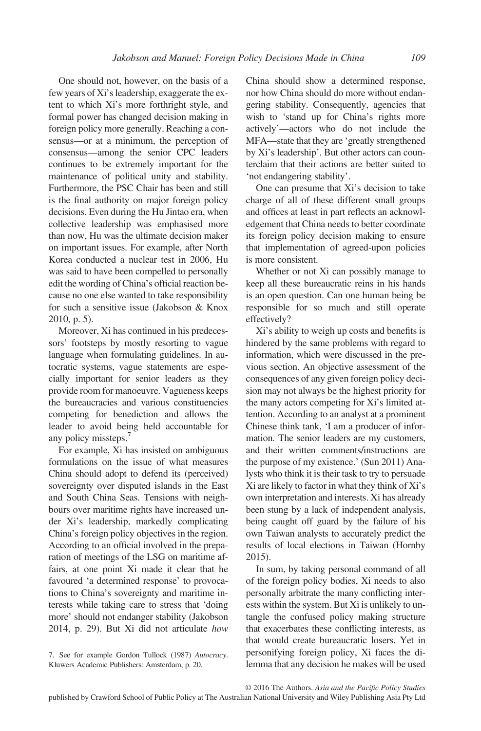One should not, however, on the basis of a few years of Xi's leadership, exaggerate the extent to which Xi's more forthright style, and formal power has changed decision making in foreign policy more generally. Reaching a consensus—or at a minimum, the perception of consensus—among the senior CPC leaders continues to be extremely important for the maintenance of political unity and stability. Furthermore, the PSC Chair has been and still is the final authority on major foreign policy decisions. Even during the Hu Jintao era, when collective leadership was emphasised more than now, Hu was the ultimate decision maker on important issues. For example, after North Korea conducted a nuclear test in 2006, Hu was said to have been compelled to personally edit the wording of China's official reaction because no one else wanted to take responsibility for such a sensitive issue (Jakobson & Knox 2010, p. 5).

Moreover, Xi has continued in his predecessors' footsteps by mostly resorting to vague language when formulating guidelines. In autocratic systems, vague statements are especially important for senior leaders as they provide room for manoeuvre. Vagueness keeps the bureaucracies and various constituencies competing for benediction and allows the leader to avoid being held accountable for any policy missteps.<sup>7</sup>

For example, Xi has insisted on ambiguous formulations on the issue of what measures China should adopt to defend its (perceived) sovereignty over disputed islands in the East and South China Seas. Tensions with neighbours over maritime rights have increased under Xi's leadership, markedly complicating China's foreign policy objectives in the region. According to an official involved in the preparation of meetings of the LSG on maritime affairs, at one point Xi made it clear that he favoured 'a determined response' to provocations to China's sovereignty and maritime interests while taking care to stress that 'doing more' should not endanger stability (Jakobson 2014, p. 29). But Xi did not articulate how

7. See for example Gordon Tullock (1987) Autocracy. Kluwers Academic Publishers: Amsterdam, p. 20.

China should show a determined response, nor how China should do more without endangering stability. Consequently, agencies that wish to 'stand up for China's rights more actively'—actors who do not include the MFA—state that they are 'greatly strengthened by Xi's leadership'. But other actors can counterclaim that their actions are better suited to 'not endangering stability'.

One can presume that Xi's decision to take charge of all of these different small groups and offices at least in part reflects an acknowledgement that China needs to better coordinate its foreign policy decision making to ensure that implementation of agreed-upon policies is more consistent.

Whether or not Xi can possibly manage to keep all these bureaucratic reins in his hands is an open question. Can one human being be responsible for so much and still operate effectively?

Xi's ability to weigh up costs and benefits is hindered by the same problems with regard to information, which were discussed in the previous section. An objective assessment of the consequences of any given foreign policy decision may not always be the highest priority for the many actors competing for Xi's limited attention. According to an analyst at a prominent Chinese think tank, 'I am a producer of information. The senior leaders are my customers, and their written comments/instructions are the purpose of my existence.' (Sun 2011) Analysts who think it is their task to try to persuade Xi are likely to factor in what they think of Xi's own interpretation and interests. Xi has already been stung by a lack of independent analysis, being caught off guard by the failure of his own Taiwan analysts to accurately predict the results of local elections in Taiwan (Hornby 2015).

In sum, by taking personal command of all of the foreign policy bodies, Xi needs to also personally arbitrate the many conflicting interests within the system. But Xi is unlikely to untangle the confused policy making structure that exacerbates these conflicting interests, as that would create bureaucratic losers. Yet in personifying foreign policy, Xi faces the dilemma that any decision he makes will be used